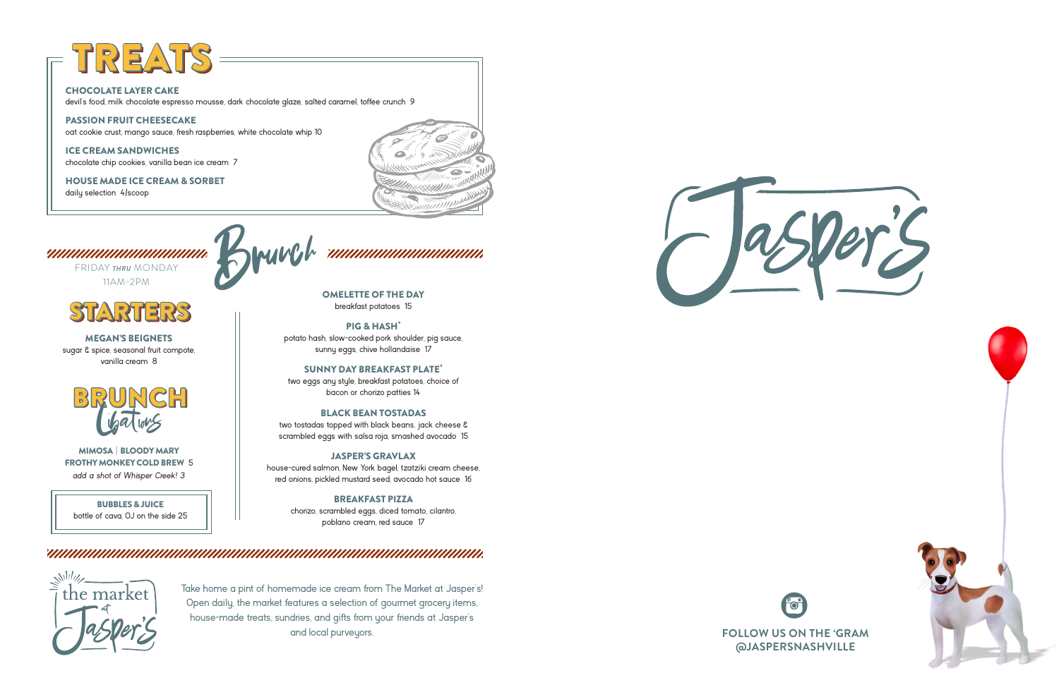OMELETTE OF THE DAY breakfast potatoes 15

**PIG & HASH<sup>\*</sup>**<br>potato hash, slow-cooked pork shoulder, pig sauce, sunny eggs, chive hollandaise 17

SUNNY DAY BREAKFAST PLATE\* two eggs any style, breakfast potatoes, choice of

bacon or chorizo patties 14

#### BLACK BEAN TOSTADAS

two tostadas topped with black beans, jack cheese & scrambled eggs with salsa roja, smashed avocado 15

#### JASPER'S GRAVLAX

house-cured salmon, New York bagel, tzatziki cream cheese, red onions, pickled mustard seed, avocado hot sauce 16

### BREAKFAST PIZZA

chorizo, scrambled eggs, diced tomato, cilantro, poblano cream, red sauce 17

## 

FRIDAY *THRU* MONDAY 11AM-2PM

# TREA

#### CHOCOLATE LAYER CAKE

devil's food, milk chocolate espresso mousse, dark chocolate glaze, salted caramel, toffee crunch 9

#### PASSION FRUIT CHEESECAKE

oat cookie crust, mango sauce, fresh raspberries, white chocolate whip 10

ICE CREAM SANDWICHES chocolate chip cookies, vanilla bean ice cream 7

HOUSE MADE ICE CREAM & SORBET

daily selection 4/scoop





Take home a pint of homemade ice cream from The Market at Jasper's! Open daily, the market features a selection of gourmet grocery items, house-made treats, sundries, and gifts from your friends at Jasper's and local purveyors.



MIMOSA | BLOODY MARY FROTHY MONKEY COLD BREW 5 *add a shot of Whisper Creek! 3*



MEGAN'S BEIGNETS sugar & spice, seasonal fruit compote, vanilla cream 8







BUBBLES & JUICE bottle of cava, OJ on the side 25 Brunch ,,,,,,,,,,,,,,,,,,,,,,,,,,,,,,,,,,,